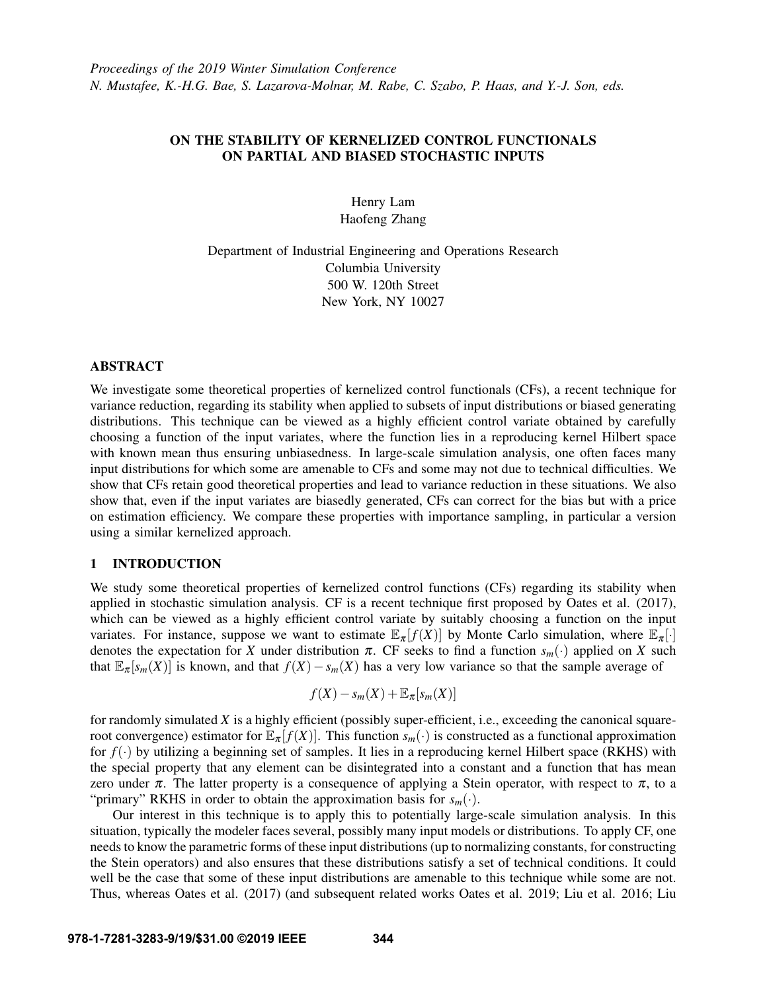# ON THE STABILITY OF KERNELIZED CONTROL FUNCTIONALS ON PARTIAL AND BIASED STOCHASTIC INPUTS

Henry Lam Haofeng Zhang

Department of Industrial Engineering and Operations Research Columbia University 500 W. 120th Street New York, NY 10027

## ABSTRACT

We investigate some theoretical properties of kernelized control functionals (CFs), a recent technique for variance reduction, regarding its stability when applied to subsets of input distributions or biased generating distributions. This technique can be viewed as a highly efficient control variate obtained by carefully choosing a function of the input variates, where the function lies in a reproducing kernel Hilbert space with known mean thus ensuring unbiasedness. In large-scale simulation analysis, one often faces many input distributions for which some are amenable to CFs and some may not due to technical difficulties. We show that CFs retain good theoretical properties and lead to variance reduction in these situations. We also show that, even if the input variates are biasedly generated, CFs can correct for the bias but with a price on estimation efficiency. We compare these properties with importance sampling, in particular a version using a similar kernelized approach.

## 1 INTRODUCTION

We study some theoretical properties of kernelized control functions (CFs) regarding its stability when applied in stochastic simulation analysis. CF is a recent technique first proposed by [Oates et al. \(2017\),](#page-11-0) which can be viewed as a highly efficient control variate by suitably choosing a function on the input variates. For instance, suppose we want to estimate  $\mathbb{E}_{\pi}[f(X)]$  by Monte Carlo simulation, where  $\mathbb{E}_{\pi}[\cdot]$ denotes the expectation for *X* under distribution  $\pi$ . CF seeks to find a function  $s_m(\cdot)$  applied on *X* such that  $\mathbb{E}_{\pi}[s_m(X)]$  is known, and that  $f(X) - s_m(X)$  has a very low variance so that the sample average of

$$
f(X) - s_m(X) + \mathbb{E}_{\pi}[s_m(X)]
$$

for randomly simulated *X* is a highly efficient (possibly super-efficient, i.e., exceeding the canonical squareroot convergence) estimator for  $\mathbb{E}_{\pi}[f(X)]$ . This function  $s_m(\cdot)$  is constructed as a functional approximation for  $f(\cdot)$  by utilizing a beginning set of samples. It lies in a reproducing kernel Hilbert space (RKHS) with the special property that any element can be disintegrated into a constant and a function that has mean zero under  $\pi$ . The latter property is a consequence of applying a Stein operator, with respect to  $\pi$ , to a "primary" RKHS in order to obtain the approximation basis for  $s_m(\cdot)$ .

Our interest in this technique is to apply this to potentially large-scale simulation analysis. In this situation, typically the modeler faces several, possibly many input models or distributions. To apply CF, one needs to know the parametric forms of these input distributions (up to normalizing constants, for constructing the Stein operators) and also ensures that these distributions satisfy a set of technical conditions. It could well be the case that some of these input distributions are amenable to this technique while some are not. Thus, whereas [Oates et al. \(2017\)](#page-11-0) (and subsequent related works [Oates et al. 2019;](#page-11-1) [Liu et al. 2016;](#page-11-2) [Liu](#page-11-3)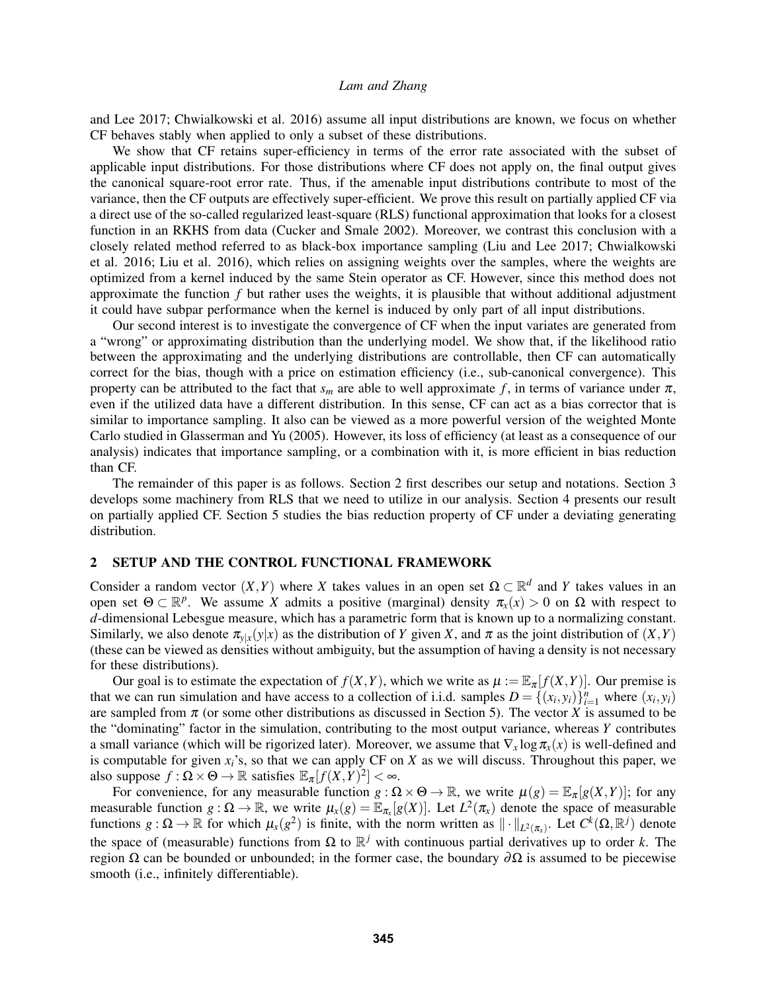[and Lee 2017;](#page-11-3) [Chwialkowski et al. 2016\)](#page-11-4) assume all input distributions are known, we focus on whether CF behaves stably when applied to only a subset of these distributions.

We show that CF retains super-efficiency in terms of the error rate associated with the subset of applicable input distributions. For those distributions where CF does not apply on, the final output gives the canonical square-root error rate. Thus, if the amenable input distributions contribute to most of the variance, then the CF outputs are effectively super-efficient. We prove this result on partially applied CF via a direct use of the so-called regularized least-square (RLS) functional approximation that looks for a closest function in an RKHS from data [\(Cucker and Smale 2002\)](#page-11-5). Moreover, we contrast this conclusion with a closely related method referred to as black-box importance sampling [\(Liu and Lee 2017;](#page-11-3) [Chwialkowski](#page-11-4) [et al. 2016;](#page-11-4) [Liu et al. 2016\)](#page-11-2), which relies on assigning weights over the samples, where the weights are optimized from a kernel induced by the same Stein operator as CF. However, since this method does not approximate the function *f* but rather uses the weights, it is plausible that without additional adjustment it could have subpar performance when the kernel is induced by only part of all input distributions.

Our second interest is to investigate the convergence of CF when the input variates are generated from a "wrong" or approximating distribution than the underlying model. We show that, if the likelihood ratio between the approximating and the underlying distributions are controllable, then CF can automatically correct for the bias, though with a price on estimation efficiency (i.e., sub-canonical convergence). This property can be attributed to the fact that  $s_m$  are able to well approximate f, in terms of variance under  $\pi$ , even if the utilized data have a different distribution. In this sense, CF can act as a bias corrector that is similar to importance sampling. It also can be viewed as a more powerful version of the weighted Monte Carlo studied in [Glasserman and Yu \(2005\).](#page-11-6) However, its loss of efficiency (at least as a consequence of our analysis) indicates that importance sampling, or a combination with it, is more efficient in bias reduction than CF.

The remainder of this paper is as follows. Section [2](#page-1-0) first describes our setup and notations. Section [3](#page-3-0) develops some machinery from RLS that we need to utilize in our analysis. Section [4](#page-7-0) presents our result on partially applied CF. Section [5](#page-9-0) studies the bias reduction property of CF under a deviating generating distribution.

### <span id="page-1-0"></span>2 SETUP AND THE CONTROL FUNCTIONAL FRAMEWORK

Consider a random vector  $(X, Y)$  where *X* takes values in an open set  $\Omega \subset \mathbb{R}^d$  and *Y* takes values in an open set  $\Theta \subset \mathbb{R}^p$ . We assume *X* admits a positive (marginal) density  $\pi_x(x) > 0$  on  $\Omega$  with respect to *d*-dimensional Lebesgue measure, which has a parametric form that is known up to a normalizing constant. Similarly, we also denote  $\pi_{y|x}(y|x)$  as the distribution of *Y* given *X*, and  $\pi$  as the joint distribution of  $(X, Y)$ (these can be viewed as densities without ambiguity, but the assumption of having a density is not necessary for these distributions).

Our goal is to estimate the expectation of  $f(X, Y)$ , which we write as  $\mu := \mathbb{E}_{\pi}[f(X, Y)]$ . Our premise is that we can run simulation and have access to a collection of i.i.d. samples  $D = \{(x_i, y_i)\}_{i=1}^n$  where  $(x_i, y_i)$ are sampled from  $\pi$  (or some other distributions as discussed in Section [5\)](#page-9-0). The vector *X* is assumed to be the "dominating" factor in the simulation, contributing to the most output variance, whereas *Y* contributes a small variance (which will be rigorized later). Moreover, we assume that  $\nabla_x \log \pi_x(x)$  is well-defined and is computable for given *xi*'s, so that we can apply CF on *X* as we will discuss. Throughout this paper, we also suppose  $f : \Omega \times \Theta \to \mathbb{R}$  satisfies  $\mathbb{E}_{\pi}[f(X,Y)^2] < \infty$ .

For convenience, for any measurable function  $g : \Omega \times \Theta \to \mathbb{R}$ , we write  $\mu(g) = \mathbb{E}_{\pi}[g(X, Y)]$ ; for any measurable function  $g: \Omega \to \mathbb{R}$ , we write  $\mu_x(g) = \mathbb{E}_{\pi_x}[g(X)]$ . Let  $L^2(\pi_x)$  denote the space of measurable functions  $g: \Omega \to \mathbb{R}$  for which  $\mu_x(g^2)$  is finite, with the norm written as  $\|\cdot\|_{L^2(\pi_x)}$ . Let  $C^k(\Omega, \mathbb{R}^j)$  denote the space of (measurable) functions from Ω to  $\mathbb{R}^j$  with continuous partial derivatives up to order *k*. The region Ω can be bounded or unbounded; in the former case, the boundary  $\partial\Omega$  is assumed to be piecewise smooth (i.e., infinitely differentiable).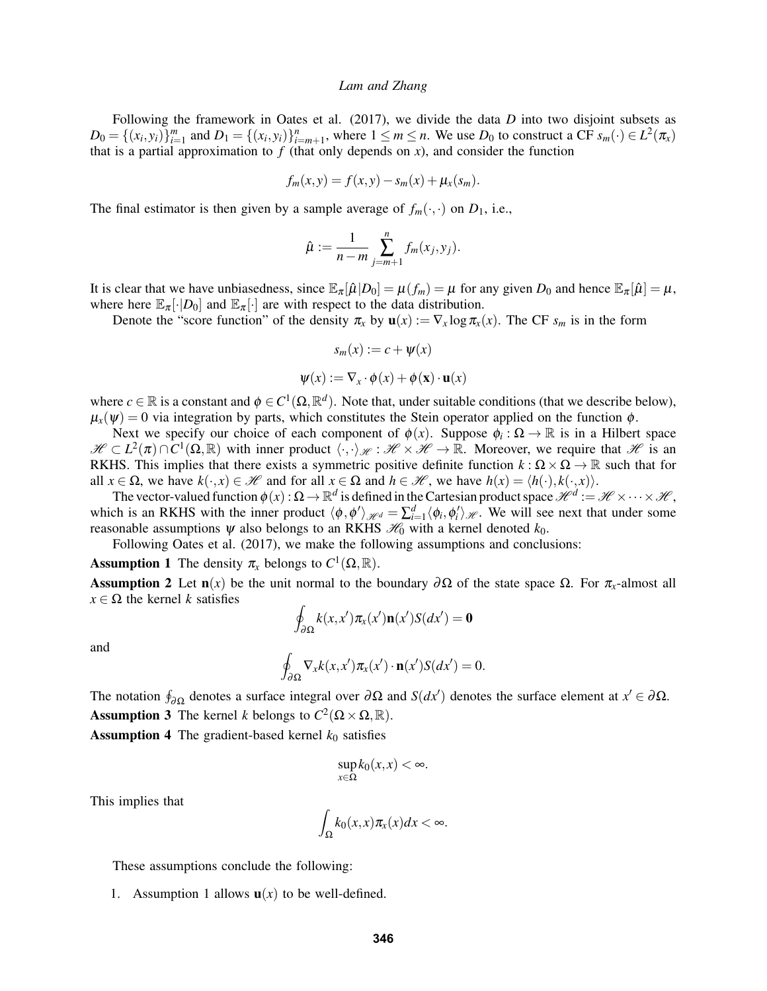Following the framework in [Oates et al. \(2017\),](#page-11-0) we divide the data *D* into two disjoint subsets as  $D_0 = \{(x_i, y_i)\}_{i=1}^m$  and  $D_1 = \{(x_i, y_i)\}_{i=m+1}^n$ , where  $1 \le m \le n$ . We use  $D_0$  to construct a CF  $s_m(\cdot) \in L^2(\pi)$ that is a partial approximation to  $f$  (that only depends on  $x$ ), and consider the function

$$
f_m(x,y) = f(x,y) - s_m(x) + \mu_x(s_m).
$$

The final estimator is then given by a sample average of  $f_m(\cdot, \cdot)$  on  $D_1$ , i.e.,

$$
\hat{\mu} := \frac{1}{n-m} \sum_{j=m+1}^{n} f_m(x_j, y_j).
$$

It is clear that we have unbiasedness, since  $\mathbb{E}_{\pi}[\hat{\mu}|D_0] = \mu(f_m) = \mu$  for any given  $D_0$  and hence  $\mathbb{E}_{\pi}[\hat{\mu}] = \mu$ , where here  $\mathbb{E}_{\pi}[\cdot|D_0]$  and  $\mathbb{E}_{\pi}[\cdot]$  are with respect to the data distribution.

Denote the "score function" of the density  $\pi_x$  by  $\mathbf{u}(x) := \nabla_x \log \pi_x(x)$ . The CF  $s_m$  is in the form

$$
s_m(x) := c + \psi(x)
$$

$$
\psi(x) := \nabla_x \cdot \phi(x) + \phi(\mathbf{x}) \cdot \mathbf{u}(x)
$$

where  $c \in \mathbb{R}$  is a constant and  $\phi \in C^1(\Omega, \mathbb{R}^d)$ . Note that, under suitable conditions (that we describe below),  $\mu_x(\psi) = 0$  via integration by parts, which constitutes the Stein operator applied on the function  $\phi$ .

Next we specify our choice of each component of  $\phi(x)$ . Suppose  $\phi_i : \Omega \to \mathbb{R}$  is in a Hilbert space  $\mathscr{H} \subset L^2(\pi) \cap C^1(\Omega,\mathbb{R})$  with inner product  $\langle \cdot, \cdot \rangle_{\mathscr{H}} : \mathscr{H} \times \mathscr{H} \to \mathbb{R}$ . Moreover, we require that  $\mathscr{H}$  is an RKHS. This implies that there exists a symmetric positive definite function  $k : \Omega \times \Omega \to \mathbb{R}$  such that for all  $x \in \Omega$ , we have  $k(\cdot, x) \in \mathcal{H}$  and for all  $x \in \Omega$  and  $h \in \mathcal{H}$ , we have  $h(x) = \langle h(\cdot), k(\cdot, x) \rangle$ .

The vector-valued function  $\phi(x): \Omega \to \mathbb{R}^d$  is defined in the Cartesian product space  $\mathscr{H}^d:=\mathscr{H}\times\cdots\times\mathscr{H}$ , which is an RKHS with the inner product  $\langle \phi, \phi' \rangle_{\mathcal{H}^d} = \sum_{i=1}^d \langle \phi_i, \phi'_i \rangle_{\mathcal{H}}$ . We will see next that under some reasonable assumptions  $\psi$  also belongs to an RKHS  $\mathcal{H}_0$  with a kernel denoted  $k_0$ .

Following [Oates et al. \(2017\),](#page-11-0) we make the following assumptions and conclusions:

<span id="page-2-0"></span>**Assumption 1** The density  $\pi_x$  belongs to  $C^1(\Omega, \mathbb{R})$ .

<span id="page-2-1"></span>**Assumption 2** Let **n**(*x*) be the unit normal to the boundary  $\partial \Omega$  of the state space  $\Omega$ . For π<sub>*x*</sub>-almost all  $x \in \Omega$  the kernel *k* satisfies

$$
\oint_{\partial \Omega} k(x, x') \pi_x(x') \mathbf{n}(x') S(dx') = \mathbf{0}
$$

and

$$
\oint_{\partial\Omega} \nabla_x k(x, x') \pi_x(x') \cdot \mathbf{n}(x') S(dx') = 0.
$$

<span id="page-2-2"></span>The notation  $\oint_{\partial\Omega}$  denotes a surface integral over  $\partial\Omega$  and  $S(dx')$  denotes the surface element at  $x' \in \partial\Omega$ . **Assumption 3** The kernel *k* belongs to  $C^2(\Omega \times \Omega, \mathbb{R})$ .

<span id="page-2-3"></span>**Assumption 4** The gradient-based kernel  $k_0$  satisfies

$$
\sup_{x\in\Omega}k_0(x,x)<\infty.
$$

This implies that

$$
\int_{\Omega} k_0(x,x) \pi_x(x) dx < \infty.
$$

These assumptions conclude the following:

[1](#page-2-0). Assumption 1 allows  $\mathbf{u}(x)$  to be well-defined.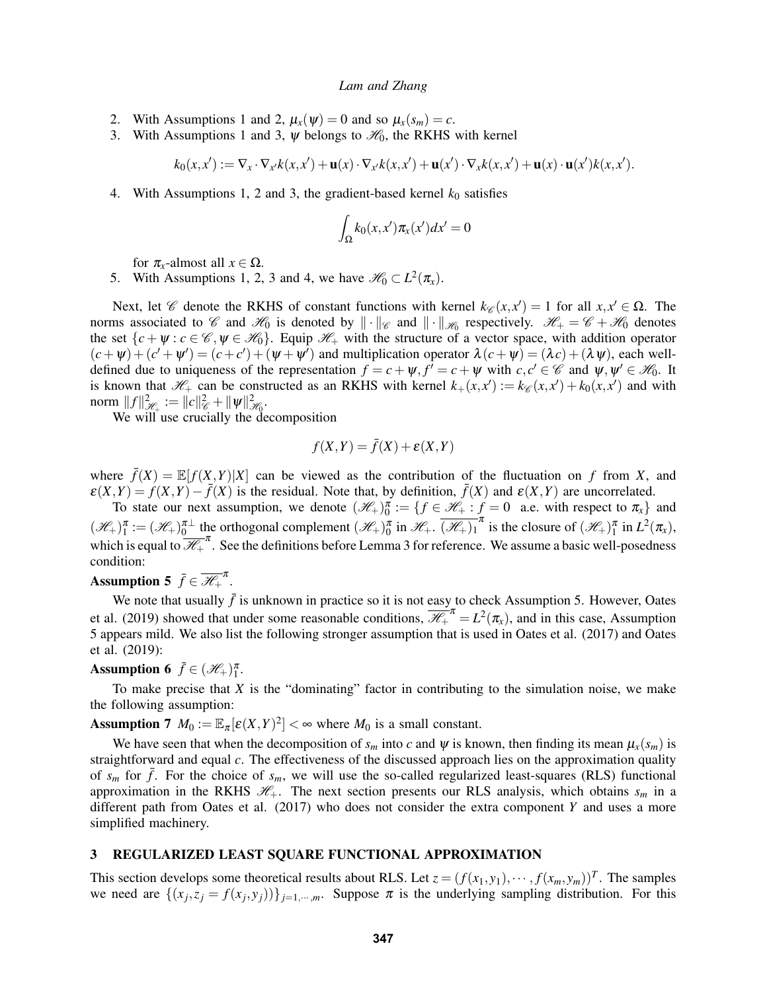- 2. With Assumptions [1](#page-2-0) and [2,](#page-2-1)  $\mu_x(\psi) = 0$  and so  $\mu_x(s_m) = c$ .
- 3. With Assumptions [1](#page-2-0) and [3,](#page-2-2)  $\psi$  belongs to  $\mathcal{H}_0$ , the RKHS with kernel

$$
k_0(x,x') := \nabla_x \cdot \nabla_{x'} k(x,x') + \mathbf{u}(x) \cdot \nabla_{x'} k(x,x') + \mathbf{u}(x') \cdot \nabla_x k(x,x') + \mathbf{u}(x) \cdot \mathbf{u}(x') k(x,x').
$$

4. With Assumptions [1,](#page-2-0) [2](#page-2-1) and [3,](#page-2-2) the gradient-based kernel  $k_0$  satisfies

$$
\int_{\Omega} k_0(x, x') \pi_x(x') dx' = 0
$$

for  $\pi_x$ -almost all  $x \in \Omega$ .

5. With Assumptions [1,](#page-2-0) [2,](#page-2-1) [3](#page-2-2) and [4,](#page-2-3) we have  $\mathcal{H}_0 \subset L^2(\pi_x)$ .

Next, let *C* denote the RKHS of constant functions with kernel  $k_{\mathscr{C}}(x, x') = 1$  for all  $x, x' \in \Omega$ . The norms associated to  $\mathscr C$  and  $\mathscr H_0$  is denoted by  $\|\cdot\|_{\mathscr C}$  and  $\|\cdot\|_{\mathscr H_0}$  respectively.  $\mathscr H_+=\mathscr C+\mathscr H_0$  denotes the set  $\{c+\psi : c \in \mathscr{C}, \psi \in \mathscr{H}_0\}$ . Equip  $\mathscr{H}_+$  with the structure of a vector space, with addition operator  $(c + \psi) + (c' + \psi') = (c + c') + (\psi + \psi')$  and multiplication operator  $\lambda(c + \psi) = (\lambda c) + (\lambda \psi)$ , each welldefined due to uniqueness of the representation  $f = c + \psi$ ,  $f' = c + \psi$  with  $c, c' \in \mathscr{C}$  and  $\psi, \psi' \in \mathscr{H}_0$ . It is known that  $\mathcal{H}_+$  can be constructed as an RKHS with kernel  $k_+(x, x') := k_{\mathcal{C}}(x, x') + k_0(x, x')$  and with norm  $||f||^2_{\mathscr{H}_+} := ||c||^2_{\mathscr{C}} + ||\psi||^2_{\mathscr{H}_0}.$ 

We will use crucially the decomposition

$$
f(X,Y) = \bar{f}(X) + \varepsilon(X,Y)
$$

where  $\bar{f}(X) = \mathbb{E}[f(X, Y)|X]$  can be viewed as the contribution of the fluctuation on f from X, and  $\varepsilon(X,Y) = f(X,Y) - \overline{f}(X)$  is the residual. Note that, by definition,  $\overline{f}(X)$  and  $\varepsilon(X,Y)$  are uncorrelated.

To state our next assumption, we denote  $(\mathcal{H}_+)_0^{\pi} := \{ f \in \mathcal{H}_+ : f = 0 \text{ a.e. with respect to } \pi_x \}$  and  $(\mathcal{H}_+)_1^{\pi} := (\mathcal{H}_+)_0^{\pi \perp}$  the orthogonal complement  $(\mathcal{H}_+)_0^{\pi}$  in  $\mathcal{H}_+$ .  $\overline{(\mathcal{H}_+)_1^{\pi}}$  is the closure of  $(\mathcal{H}_+)_1^{\pi}$  in  $L^2(\pi_x)$ , which is equal to  $\overline{\mathcal{H}}_+^{\pi}$ . See the definitions before Lemma [3](#page-5-0) for reference. We assume a basic well-posedness condition:

# <span id="page-3-1"></span>Assumption 5  $\bar{f} \in \overline{\mathscr{H}}_{+}^{\pi}$ .

We note that usually  $\bar{f}$  is unknown in practice so it is not easy to check Assumption [5.](#page-3-1) However, [Oates](#page-11-1) [et al. \(2019\)](#page-11-1) showed that under some reasonable conditions,  $\overline{\mathcal{H}}_+^{\pi} = L^2(\pi_x)$ , and in this case, Assumption [5](#page-3-1) appears mild. We also list the following stronger assumption that is used in [Oates et al. \(2017\)](#page-11-0) and [Oates](#page-11-1) [et al. \(2019\):](#page-11-1)

# **Assumption 6**  $\bar{f} \in (\mathcal{H}_+)^{\pi}$ .

To make precise that *X* is the "dominating" factor in contributing to the simulation noise, we make the following assumption:

<span id="page-3-2"></span>**Assumption 7**  $M_0 := \mathbb{E}_{\pi}[\varepsilon(X, Y)^2] < \infty$  where  $M_0$  is a small constant.

We have seen that when the decomposition of  $s_m$  into c and  $\psi$  is known, then finding its mean  $\mu_x(s_m)$  is straightforward and equal *c*. The effectiveness of the discussed approach lies on the approximation quality of  $s_m$  for  $\bar{f}$ . For the choice of  $s_m$ , we will use the so-called regularized least-squares (RLS) functional approximation in the RKHS  $\mathcal{H}_+$ . The next section presents our RLS analysis, which obtains  $s_m$  in a different path from [Oates et al. \(2017\)](#page-11-0) who does not consider the extra component *Y* and uses a more simplified machinery.

## <span id="page-3-0"></span>3 REGULARIZED LEAST SQUARE FUNCTIONAL APPROXIMATION

This section develops some theoretical results about RLS. Let  $z = (f(x_1, y_1), \dots, f(x_m, y_m))^T$ . The samples we need are  $\{(x_j, z_j = f(x_j, y_j))\}_{j=1,\dots,m}$ . Suppose  $\pi$  is the underlying sampling distribution. For this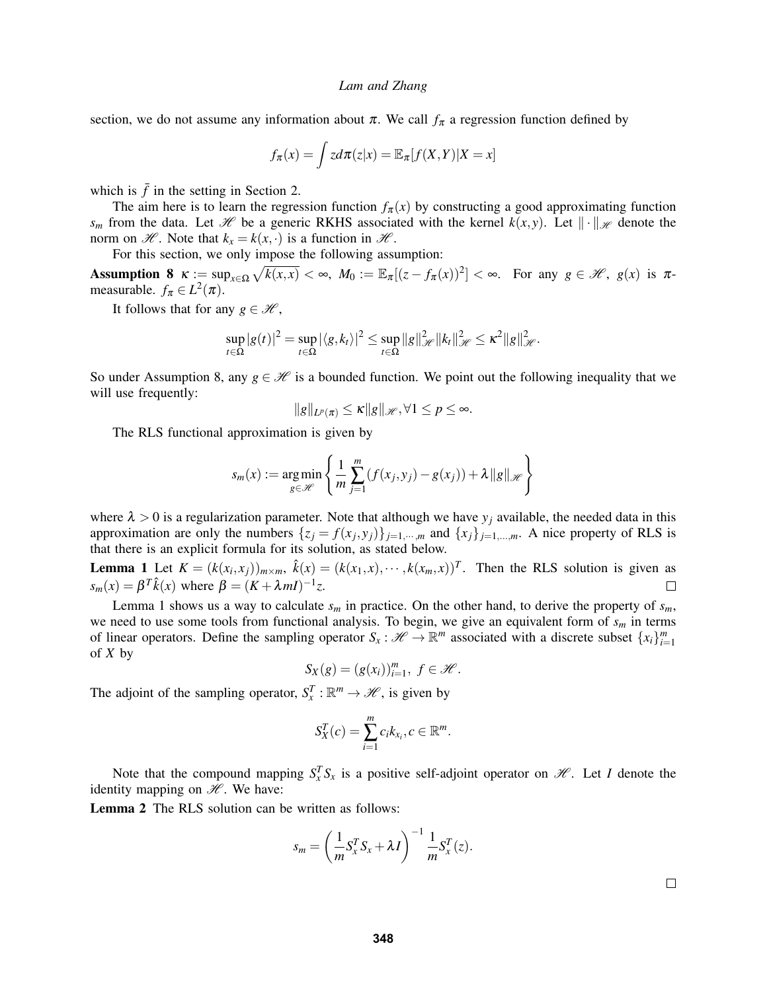section, we do not assume any information about  $\pi$ . We call  $f_{\pi}$  a regression function defined by

$$
f_{\pi}(x) = \int z d\pi(z|x) = \mathbb{E}_{\pi}[f(X,Y)|X=x]
$$

which is  $\bar{f}$  in the setting in Section [2.](#page-1-0)

The aim here is to learn the regression function  $f_{\pi}(x)$  by constructing a good approximating function *s<sub>m</sub>* from the data. Let *H* be a generic RKHS associated with the kernel  $k(x, y)$ . Let  $\|\cdot\|_{\mathcal{H}}$  denote the norm on  $\mathcal{H}$ . Note that  $k_x = k(x, \cdot)$  is a function in  $\mathcal{H}$ .

For this section, we only impose the following assumption:

<span id="page-4-0"></span>Assumption 8  $\kappa := \sup_{x \in \Omega} \sqrt{k(x,x)} < \infty$ ,  $M_0 := \mathbb{E}_{\pi}[(z - f_{\pi}(x))^2] < \infty$ . For any  $g \in \mathcal{H}$ ,  $g(x)$  is  $\pi$ measurable.  $f_{\pi} \in L^2(\pi)$ .

It follows that for any  $g \in \mathcal{H}$ ,

$$
\sup_{t\in\Omega}|g(t)|^2=\sup_{t\in\Omega}|\langle g,k_t\rangle|^2\leq \sup_{t\in\Omega}\|g\|_{\mathscr{H}}^2\|k_t\|_{\mathscr{H}}^2\leq\kappa^2\|g\|_{\mathscr{H}}^2.
$$

So under Assumption [8,](#page-4-0) any  $g \in \mathcal{H}$  is a bounded function. We point out the following inequality that we will use frequently:

$$
||g||_{L^p(\pi)} \le \kappa ||g||_{\mathscr{H}}, \forall 1 \le p \le \infty.
$$

The RLS functional approximation is given by

$$
s_m(x) := \underset{g \in \mathscr{H}}{\arg \min} \left\{ \frac{1}{m} \sum_{j=1}^m (f(x_j, y_j) - g(x_j)) + \lambda \|g\|_{\mathscr{H}} \right\}
$$

where  $\lambda > 0$  is a regularization parameter. Note that although we have  $y_j$  available, the needed data in this approximation are only the numbers  $\{z_j = f(x_j, y_j)\}_{j=1,\dots,m}$  and  $\{x_j\}_{j=1,\dots,m}$ . A nice property of RLS is that there is an explicit formula for its solution, as stated below.

<span id="page-4-1"></span>**Lemma 1** Let  $K = (k(x_i, x_j))_{m \times m}$ ,  $\hat{k}(x) = (k(x_1, x), \dots, k(x_m, x))^T$ . Then the RLS solution is given as  $s_m(x) = \beta^T \hat{k}(x)$  where  $\beta = (K + \lambda mI)^{-1}z$ .  $\Box$ 

Lemma [1](#page-4-1) shows us a way to calculate  $s_m$  in practice. On the other hand, to derive the property of  $s_m$ , we need to use some tools from functional analysis. To begin, we give an equivalent form of *s<sup>m</sup>* in terms of linear operators. Define the sampling operator  $S_x : \mathcal{H} \to \mathbb{R}^m$  associated with a discrete subset  $\{x_i\}_{i=1}^m$ of *X* by

$$
S_X(g) = (g(x_i))_{i=1}^m, f \in \mathcal{H}.
$$

The adjoint of the sampling operator,  $S_x^T : \mathbb{R}^m \to \mathcal{H}$ , is given by

$$
S_X^T(c) = \sum_{i=1}^m c_i k_{x_i}, c \in \mathbb{R}^m.
$$

Note that the compound mapping  $S_x^T S_x$  is a positive self-adjoint operator on  $\mathcal{H}$ . Let *I* denote the identity mapping on  $H$ . We have:

Lemma 2 The RLS solution can be written as follows:

$$
s_m = \left(\frac{1}{m}S_x^T S_x + \lambda I\right)^{-1} \frac{1}{m}S_x^T(z).
$$

 $\Box$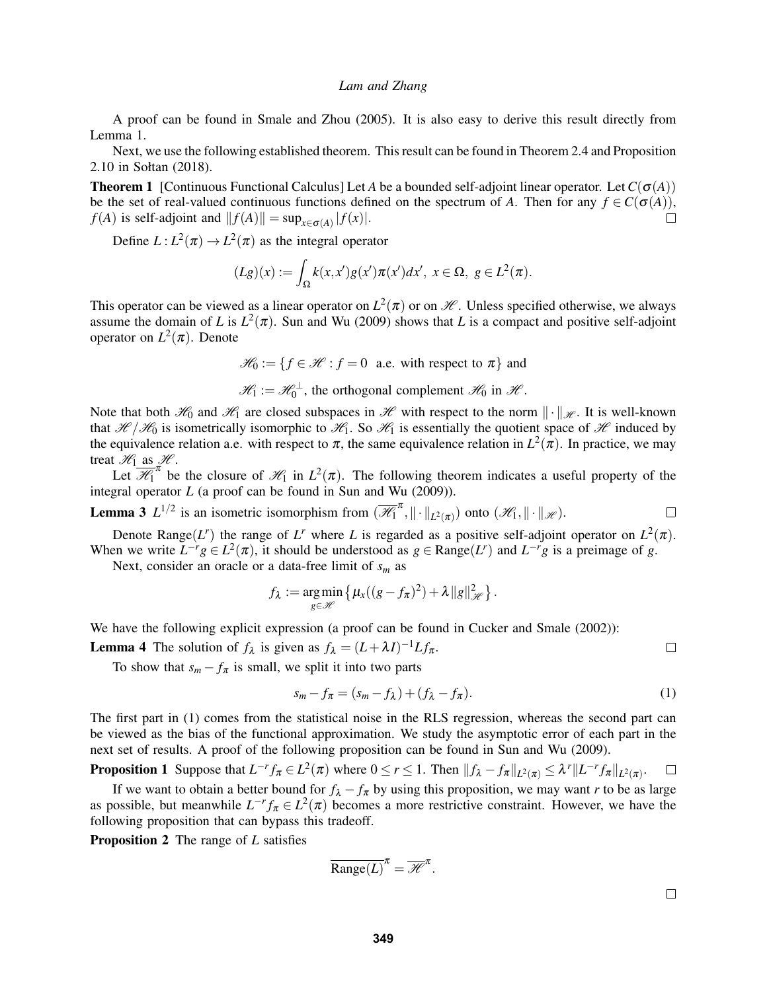A proof can be found in [Smale and Zhou \(2005\).](#page-11-7) It is also easy to derive this result directly from Lemma [1.](#page-4-1)

Next, we use the following established theorem. This result can be found in Theorem 2.4 and Proposition 2.10 in [Sołtan \(2018\).](#page-11-8)

**Theorem 1** [Continuous Functional Calculus] Let *A* be a bounded self-adjoint linear operator. Let  $C(\sigma(A))$ be the set of real-valued continuous functions defined on the spectrum of *A*. Then for any  $f \in C(\sigma(A))$ , *f*(*A*) is self-adjoint and  $|| f(A) || = \sup_{x \in \sigma(A)} | f(x) |$ .  $\Box$ 

Define  $L: L^2(\pi) \to L^2(\pi)$  as the integral operator

$$
(Lg)(x) := \int_{\Omega} k(x,x')g(x')\pi(x')dx', \ x \in \Omega, \ g \in L^2(\pi).
$$

This operator can be viewed as a linear operator on  $L^2(\pi)$  or on  $\mathcal{H}$ . Unless specified otherwise, we always assume the domain of *L* is  $L^2(\pi)$ . [Sun and Wu \(2009\)](#page-11-9) shows that *L* is a compact and positive self-adjoint operator on  $L^2(\pi)$ . Denote

$$
\mathcal{H}_0 := \{ f \in \mathcal{H} : f = 0 \text{ a.e. with respect to } \pi \} \text{ and}
$$

 $\mathscr{H}_1 := \mathscr{H}_0^{\perp}$ , the orthogonal complement  $\mathscr{H}_0$  in  $\mathscr{H}$ .

Note that both  $\mathcal{H}_0$  and  $\mathcal{H}_1$  are closed subspaces in  $\mathcal{H}$  with respect to the norm  $\|\cdot\|_{\mathcal{H}}$ . It is well-known that  $\mathcal{H}/\mathcal{H}_0$  is isometrically isomorphic to  $\mathcal{H}_1$ . So  $\mathcal{H}_1$  is essentially the quotient space of  $\mathcal H$  induced by the equivalence relation a.e. with respect to  $\pi$ , the same equivalence relation in  $L^2(\pi)$ . In practice, we may treat  $\mathcal{H}_1$  as  $\mathcal{H}$ .

Let  $\overline{\mathcal{H}}_1^{\pi}$  be the closure of  $\mathcal{H}_1$  in  $L^2(\pi)$ . The following theorem indicates a useful property of the integral operator *L* (a proof can be found in [Sun and Wu \(2009\)\)](#page-11-9).

<span id="page-5-0"></span>**Lemma 3**  $L^{1/2}$  is an isometric isomorphism from  $(\overline{\mathcal{H}}_1^{\pi}, \|\cdot\|_{L^2(\pi)})$  onto  $(\mathcal{H}_1, \|\cdot\|_{\mathcal{H}})$ .  $\Box$ 

Denote Range(*L<sup>r</sup>*) the range of *L<sup>r</sup>* where *L* is regarded as a positive self-adjoint operator on  $L^2(\pi)$ . When we write  $L^{-r}g \in L^2(\pi)$ , it should be understood as  $g \in \text{Range}(L^r)$  and  $L^{-r}g$  is a preimage of *g*.

Next, consider an oracle or a data-free limit of *s<sup>m</sup>* as

$$
f_{\lambda} := \underset{g \in \mathscr{H}}{\arg \min} \left\{ \mu_{x}((g - f_{\pi})^{2}) + \lambda ||g||_{\mathscr{H}}^{2} \right\}.
$$

We have the following explicit expression (a proof can be found in [Cucker and Smale \(2002\)\)](#page-11-5):

**Lemma 4** The solution of  $f_{\lambda}$  is given as  $f_{\lambda} = (L + \lambda I)^{-1} L f_{\pi}$ .

To show that  $s_m - f_\pi$  is small, we split it into two parts

<span id="page-5-1"></span>
$$
s_m - f_{\pi} = (s_m - f_{\lambda}) + (f_{\lambda} - f_{\pi}).
$$
\n(1)

The first part in [\(1\)](#page-5-1) comes from the statistical noise in the RLS regression, whereas the second part can be viewed as the bias of the functional approximation. We study the asymptotic error of each part in the next set of results. A proof of the following proposition can be found in [Sun and Wu \(2009\).](#page-11-9)

<span id="page-5-2"></span>**Proposition 1** Suppose that  $L^{-r}f_{\pi} \in L^2(\pi)$  where  $0 \le r \le 1$ . Then  $||f_{\lambda} - f_{\pi}||_{L^2(\pi)} \le \lambda^r ||L^{-r}f_{\pi}||_{L^2(\pi)}$ .  $\Box$ 

If we want to obtain a better bound for  $f_{\lambda} - f_{\pi}$  by using this proposition, we may want *r* to be as large as possible, but meanwhile  $L^{-r} f_{\pi} \in L^2(\pi)$  becomes a more restrictive constraint. However, we have the following proposition that can bypass this tradeoff.

<span id="page-5-3"></span>Proposition 2 The range of *L* satisfies

$$
\overline{\text{Range}(L)}^{\pi} = \overline{\mathscr{H}}^{\pi}.
$$

 $\Box$ 

 $\Box$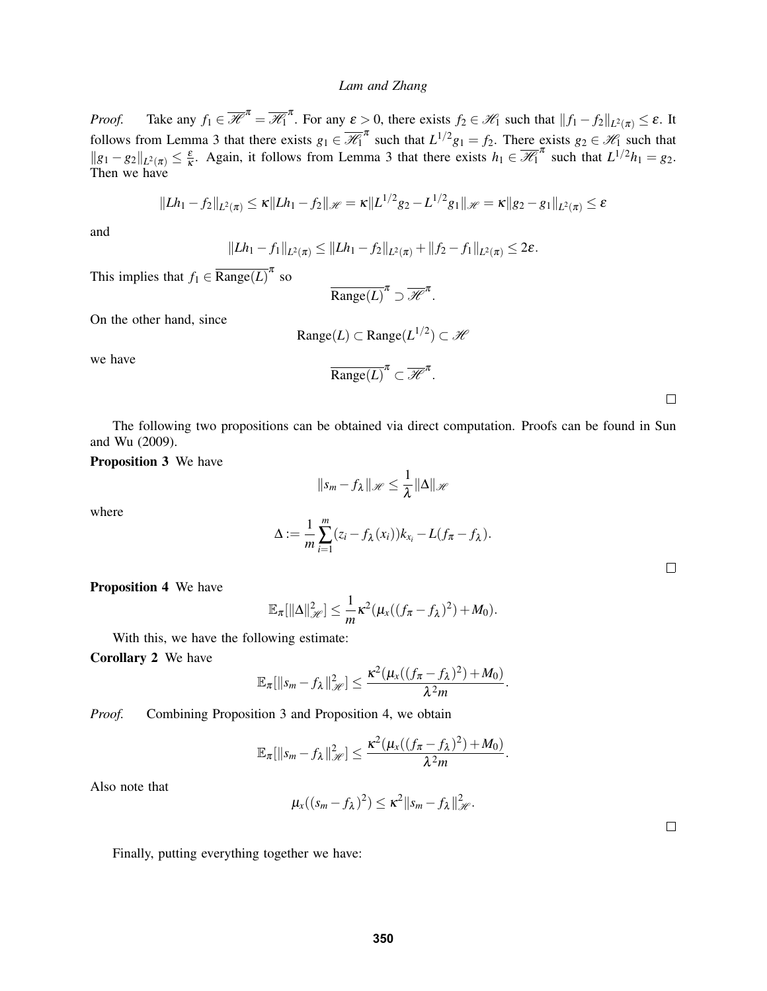*Proof.* Take any  $f_1 \in \overline{\mathcal{H}}^{\pi} = \overline{\mathcal{H}}^{\pi}$ . For any  $\varepsilon > 0$ , there exists  $f_2 \in \mathcal{H}_1$  such that  $||f_1 - f_2||_{L^2(\pi)} \le \varepsilon$ . It follows from Lemma [3](#page-5-0) that there exists  $g_1 \in \overline{\mathcal{H}_1}^{\pi}$  such that  $L^{1/2}g_1 = f_2$ . There exists  $g_2 \in \mathcal{H}_1$  such that  $||g_1 - g_2||_{L^2(\pi)} \leq \frac{\varepsilon}{\kappa}$  $\frac{\varepsilon}{\kappa}$ . Again, it follows from Lemma [3](#page-5-0) that there exists  $h_1 \in \overline{\mathcal{H}_1}^{\pi}$  such that  $L^{1/2}h_1 = g_2$ . Then we have

$$
||Lh_1-f_2||_{L^2(\pi)} \le \kappa ||Lh_1-f_2||_{\mathscr{H}} = \kappa ||L^{1/2}g_2 - L^{1/2}g_1||_{\mathscr{H}} = \kappa ||g_2 - g_1||_{L^2(\pi)} \le \varepsilon
$$

and

$$
||Lh_1 - f_1||_{L^2(\pi)} \leq ||Lh_1 - f_2||_{L^2(\pi)} + ||f_2 - f_1||_{L^2(\pi)} \leq 2\varepsilon.
$$

This implies that  $f_1 \in \overline{\text{Range}(L)}^{\pi}$  so

$$
\overline{\text{Range}(L)}^{\pi} \supset \overline{\mathscr{H}}^{\pi}.
$$

On the other hand, since

$$
\text{Range}(L) \subset \text{Range}(L^{1/2}) \subset \mathcal{H}
$$

we have

$$
\overline{\text{Range}(L)}^{\pi} \subset \overline{\mathscr{H}}^{\pi}.
$$

The following two propositions can be obtained via direct computation. Proofs can be found in [Sun](#page-11-9) [and Wu \(2009\).](#page-11-9)

<span id="page-6-0"></span>Proposition 3 We have

$$
||s_m - f_\lambda||_{\mathscr{H}} \leq \frac{1}{\lambda} ||\Delta||_{\mathscr{H}}
$$

where

$$
\Delta := \frac{1}{m} \sum_{i=1}^m (z_i - f_\lambda(x_i)) k_{x_i} - L(f_\pi - f_\lambda).
$$

 $\Box$ 

<span id="page-6-1"></span>Proposition 4 We have

$$
\mathbb{E}_{\pi}[\|\Delta\|_{\mathscr{H}}^2] \leq \frac{1}{m}\kappa^2(\mu_x((f_{\pi}-f_{\lambda})^2)+M_0).
$$

With this, we have the following estimate:

Corollary 2 We have

$$
\mathbb{E}_{\pi}[\|s_m-f_{\lambda}\|_{\mathscr{H}}^2]\leq \frac{\kappa^2(\mu_{x}((f_{\pi}-f_{\lambda})^2)+M_0)}{\lambda^2m}.
$$

*Proof.* Combining Proposition [3](#page-6-0) and Proposition [4,](#page-6-1) we obtain

$$
\mathbb{E}_{\pi}[\|s_m-f_{\lambda}\|_{\mathscr{H}}^2]\leq \frac{\kappa^2(\mu_{x}((f_{\pi}-f_{\lambda})^2)+M_0)}{\lambda^2m}.
$$

Also note that

$$
\mu_{x}((s_m-f_{\lambda})^2)\leq \kappa^2\|s_m-f_{\lambda}\|_{\mathscr{H}}^2.
$$

 $\Box$ 

Finally, putting everything together we have: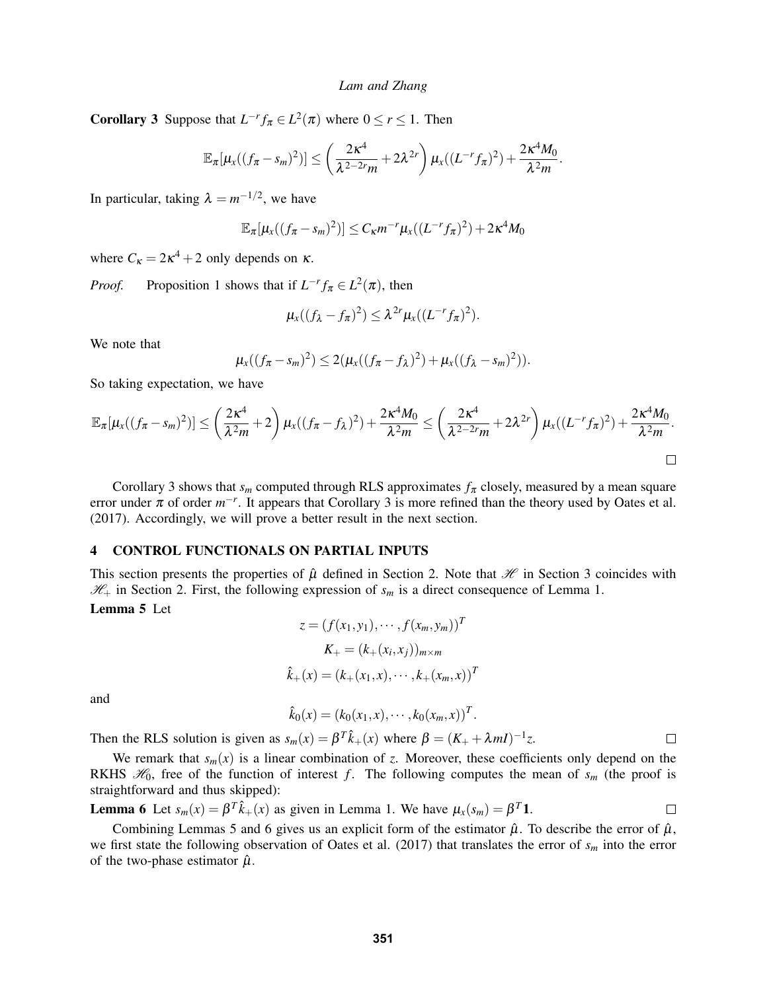<span id="page-7-1"></span>**Corollary 3** Suppose that  $L^{-r} f_\pi \in L^2(\pi)$  where  $0 \le r \le 1$ . Then

$$
\mathbb{E}_{\pi}[\mu_{x}((f_{\pi}-s_{m})^{2})] \leq \left(\frac{2\kappa^{4}}{\lambda^{2-2r}m}+2\lambda^{2r}\right)\mu_{x}((L^{-r}f_{\pi})^{2})+\frac{2\kappa^{4}M_{0}}{\lambda^{2}m}.
$$

In particular, taking  $\lambda = m^{-1/2}$ , we have

$$
\mathbb{E}_{\pi}[\mu_{x}((f_{\pi}-s_{m})^{2})] \leq C_{\kappa}m^{-r}\mu_{x}((L^{-r}f_{\pi})^{2}) + 2\kappa^{4}M_{0}
$$

where  $C_{\kappa} = 2\kappa^4 + 2$  only depends on  $\kappa$ .

*Proof.* Proposition [1](#page-5-2) shows that if  $L^{-r} f_\pi \in L^2(\pi)$ , then

$$
\mu_x((f_{\lambda}-f_{\pi})^2)\leq \lambda^{2r}\mu_x((L^{-r}f_{\pi})^2).
$$

We note that

$$
\mu_{x}((f_{\pi}-s_{m})^{2})\leq 2(\mu_{x}((f_{\pi}-f_{\lambda})^{2})+\mu_{x}((f_{\lambda}-s_{m})^{2})).
$$

So taking expectation, we have

$$
\mathbb{E}_{\pi}[\mu_x((f_{\pi}-s_m)^2)] \leq \left(\frac{2\kappa^4}{\lambda^2m}+2\right)\mu_x((f_{\pi}-f_{\lambda})^2)+\frac{2\kappa^4M_0}{\lambda^2m}\leq \left(\frac{2\kappa^4}{\lambda^2-2r_m}+2\lambda^{2r}\right)\mu_x((L^{-r}f_{\pi})^2)+\frac{2\kappa^4M_0}{\lambda^2m}.
$$

Corollary [3](#page-7-1) shows that  $s_m$  computed through RLS approximates  $f_\pi$  closely, measured by a mean square error under  $\pi$  of order  $m^{-r}$ . It appears that Corollary [3](#page-7-1) is more refined than the theory used by [Oates et al.](#page-11-0) [\(2017\).](#page-11-0) Accordingly, we will prove a better result in the next section.

# <span id="page-7-0"></span>4 CONTROL FUNCTIONALS ON PARTIAL INPUTS

This section presents the properties of  $\hat{\mu}$  defined in Section [2.](#page-1-0) Note that  $\mathcal{H}$  in Section [3](#page-3-0) coincides with  $\mathcal{H}_+$  in Section [2.](#page-1-0) First, the following expression of  $s_m$  is a direct consequence of Lemma [1.](#page-4-1)

# <span id="page-7-2"></span>Lemma 5 Let

$$
z = (f(x_1, y_1), \cdots, f(x_m, y_m))^T
$$

$$
K_+ = (k_+(x_i, x_j))_{m \times m}
$$

$$
\hat{k}_+(x) = (k_+(x_1, x), \cdots, k_+(x_m, x))^T
$$

and

 $\hat{k}_0(x) = (k_0(x_1, x), \cdots, k_0(x_m, x))^T$ .

Then the RLS solution is given as  $s_m(x) = \beta^T \hat{k}_+(x)$  where  $\beta = (K_+ + \lambda mI)^{-1}z$ .  $\Box$ 

We remark that  $s_m(x)$  is a linear combination of *z*. Moreover, these coefficients only depend on the RKHS  $\mathcal{H}_0$ , free of the function of interest *f*. The following computes the mean of  $s_m$  (the proof is straightforward and thus skipped):

<span id="page-7-3"></span>**Lemma 6** Let 
$$
s_m(x) = \beta^T \hat{k}_+(x)
$$
 as given in Lemma 1. We have  $\mu_x(s_m) = \beta^T \mathbf{1}$ .

Combining Lemmas [5](#page-7-2) and [6](#page-7-3) gives us an explicit form of the estimator  $\hat{\mu}$ . To describe the error of  $\hat{\mu}$ , we first state the following observation of [Oates et al. \(2017\)](#page-11-0) that translates the error of *s<sup>m</sup>* into the error of the two-phase estimator  $\hat{\mu}$ .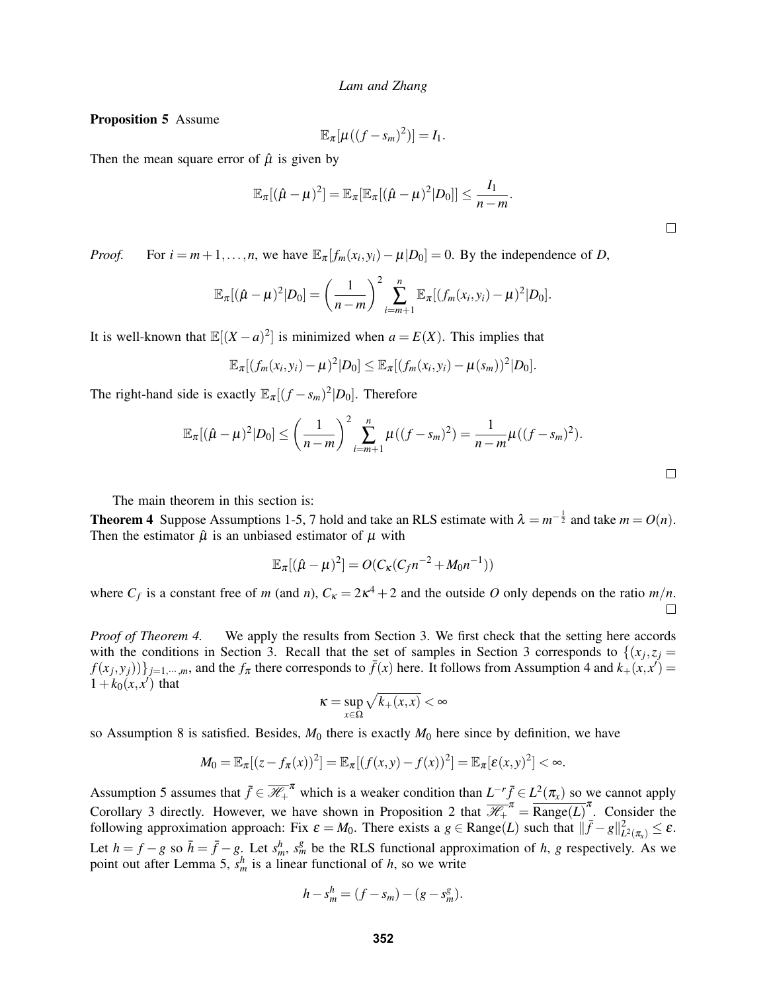<span id="page-8-1"></span>Proposition 5 Assume

$$
\mathbb{E}_{\pi}[\mu((f-s_m)^2)]=I_1.
$$

Then the mean square error of  $\hat{\mu}$  is given by

$$
\mathbb{E}_{\pi}[(\hat{\mu}-\mu)^2]=\mathbb{E}_{\pi}[\mathbb{E}_{\pi}[(\hat{\mu}-\mu)^2|D_0]]\leq \frac{I_1}{n-m}.
$$

*Proof.* For  $i = m+1, ..., n$ , we have  $\mathbb{E}_{\pi}[f_m(x_i, y_i) - \mu | D_0] = 0$ . By the independence of *D*,

$$
\mathbb{E}_{\pi}[(\hat{\mu}-\mu)^2|D_0]=\left(\frac{1}{n-m}\right)^2\sum_{i=m+1}^n\mathbb{E}_{\pi}[(f_m(x_i,y_i)-\mu)^2|D_0].
$$

It is well-known that  $\mathbb{E}[(X-a)^2]$  is minimized when  $a = E(X)$ . This implies that

$$
\mathbb{E}_{\pi}[(f_m(x_i,y_i)-\mu)^2|D_0] \leq \mathbb{E}_{\pi}[(f_m(x_i,y_i)-\mu(s_m))^2|D_0].
$$

The right-hand side is exactly  $\mathbb{E}_{\pi}[(f - s_m)^2 | D_0]$ . Therefore

$$
\mathbb{E}_{\pi}[(\hat{\mu}-\mu)^{2}|D_{0}] \leq \left(\frac{1}{n-m}\right)^{2} \sum_{i=m+1}^{n} \mu((f-s_{m})^{2}) = \frac{1}{n-m} \mu((f-s_{m})^{2}).
$$

The main theorem in this section is:

<span id="page-8-0"></span>**Theorem 4** Suppose Assumptions [1](#page-2-0)[-5,](#page-3-1) [7](#page-3-2) hold and take an RLS estimate with  $\lambda = m^{-\frac{1}{2}}$  and take  $m = O(n)$ . Then the estimator  $\hat{\mu}$  is an unbiased estimator of  $\mu$  with

$$
\mathbb{E}_{\pi}[(\hat{\mu}-\mu)^2] = O(C_{\kappa}(C_f n^{-2} + M_0 n^{-1}))
$$

where  $C_f$  is a constant free of *m* (and *n*),  $C_k = 2k^4 + 2$  and the outside *O* only depends on the ratio  $m/n$ . П

*Proof of Theorem [4.](#page-8-0)* We apply the results from Section [3.](#page-3-0) We first check that the setting here accords with the conditions in Section [3.](#page-3-0) Recall that the set of samples in Section [3](#page-3-0) corresponds to  $\{(x_j, z_j)$  $f(x_j, y_j)$ } $_{j=1,\dots,m}$ , and the  $f_\pi$  there corresponds to  $\bar{f}(x)$  here. It follows from Assumption [4](#page-2-3) and  $k_+(x, x') =$  $1+k_0(x, x')$  that

$$
\kappa = \sup_{x \in \Omega} \sqrt{k_+(x,x)} < \infty
$$

so Assumption [8](#page-4-0) is satisfied. Besides, *M*<sup>0</sup> there is exactly *M*<sup>0</sup> here since by definition, we have

$$
M_0=\mathbb{E}_{\pi}[(z-f_{\pi}(x))^2]=\mathbb{E}_{\pi}[(f(x,y)-f(x))^2]=\mathbb{E}_{\pi}[\varepsilon(x,y)^2]<\infty.
$$

Assumption [5](#page-3-1) assumes that  $\bar{f} \in \overline{\mathcal{H}}_+^{\pi}$  which is a weaker condition than  $L^{-r} \bar{f} \in L^2(\pi_x)$  so we cannot apply Corollary [3](#page-7-1) directly. However, we have shown in Proposition [2](#page-5-3) that  $\overline{\mathcal{H}}_{+}^{\pi} = \overline{\text{Range}(L)}^{\pi}$ . Consider the following approximation approach: Fix  $\varepsilon = M_0$ . There exists a  $g \in \text{Range}(L)$  such that  $\|\bar{f} - g\|_{L^2(\pi_x)}^2 \leq \varepsilon$ . Let  $h = f - g$  so  $\bar{h} = \bar{f} - g$ . Let  $s_m^h$ ,  $s_m^g$  be the RLS functional approximation of *h*, *g* respectively. As we point out after Lemma [5,](#page-7-2)  $s_m^h$  is a linear functional of *h*, so we write

$$
h - s_m^h = (f - s_m) - (g - s_m^g).
$$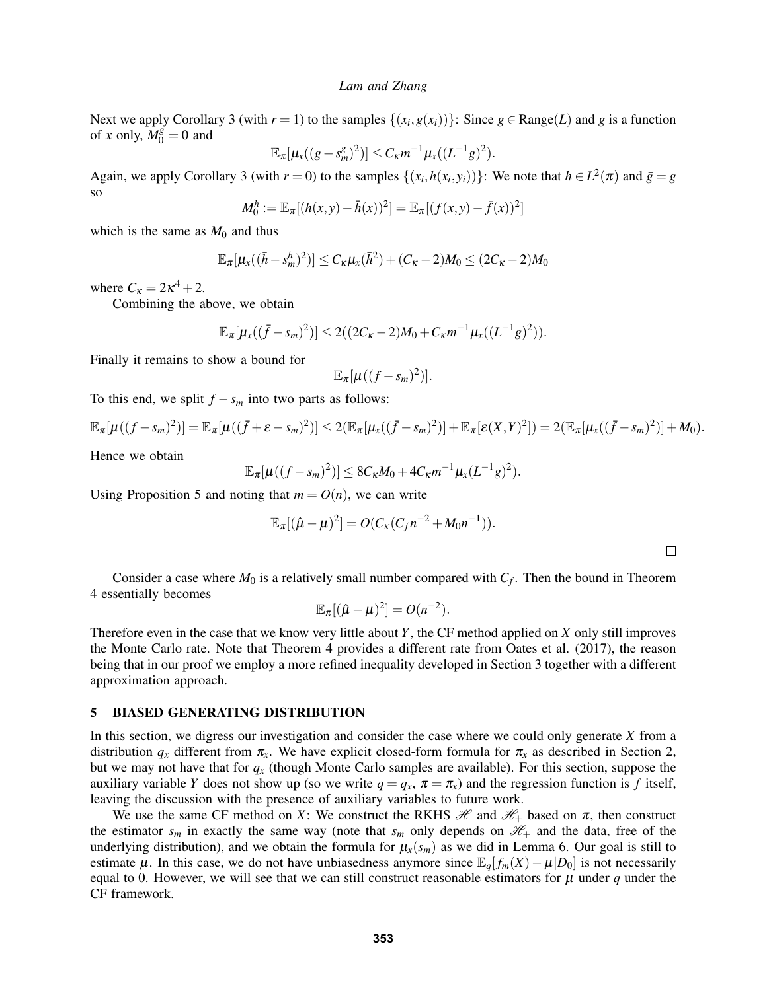Next we apply Corollary [3](#page-7-1) (with  $r = 1$ ) to the samples  $\{(x_i, g(x_i))\}$ : Since  $g \in \text{Range}(L)$  and  $g$  is a function of *x* only,  $M_0^g = 0$  and

$$
\mathbb{E}_{\pi}[\mu_{x}((g-s_{m}^{g})^{2})] \leq C_{\kappa}m^{-1}\mu_{x}((L^{-1}g)^{2}).
$$

Again, we apply Corollary [3](#page-7-1) (with  $r = 0$ ) to the samples  $\{(x_i, h(x_i, y_i))\}$ : We note that  $h \in L^2(\pi)$  and  $\bar{g} = g$ so

$$
M_0^h := \mathbb{E}_{\pi}[(h(x, y) - \bar{h}(x))^2] = \mathbb{E}_{\pi}[(f(x, y) - \bar{f}(x))^2]
$$

which is the same as  $M_0$  and thus

$$
\mathbb{E}_{\pi}[\mu_{x}((\bar{h}-s_{m}^{h})^{2})] \leq C_{\kappa}\mu_{x}(\bar{h}^{2}) + (C_{\kappa}-2)M_{0} \leq (2C_{\kappa}-2)M_{0}
$$

where  $C_{\kappa} = 2\kappa^4 + 2$ .

Combining the above, we obtain

$$
\mathbb{E}_{\pi}[\mu_{x}((\bar{f}-s_{m})^{2})] \leq 2((2C_{\kappa}-2)M_{0}+C_{\kappa}m^{-1}\mu_{x}((L^{-1}g)^{2})).
$$

Finally it remains to show a bound for

$$
\mathbb{E}_{\pi}[\mu((f-s_m)^2)].
$$

To this end, we split  $f - s_m$  into two parts as follows:

$$
\mathbb{E}_{\pi}[\mu((f-s_m)^2)] = \mathbb{E}_{\pi}[\mu((\bar{f}+\varepsilon-s_m)^2)] \leq 2(\mathbb{E}_{\pi}[\mu_x((\bar{f}-s_m)^2)] + \mathbb{E}_{\pi}[\varepsilon(X,Y)^2]) = 2(\mathbb{E}_{\pi}[\mu_x((\bar{f}-s_m)^2)] + M_0).
$$

Hence we obtain

$$
\mathbb{E}_{\pi}[\mu((f - s_m)^2)] \leq 8C_{\kappa}M_0 + 4C_{\kappa}m^{-1}\mu_{x}(L^{-1}g)^2).
$$

Using Proposition [5](#page-8-1) and noting that  $m = O(n)$ , we can write

$$
\mathbb{E}_{\pi}[(\hat{\mu} - \mu)^2] = O(C_{\kappa}(C_f n^{-2} + M_0 n^{-1})).
$$

Consider a case where  $M_0$  is a relatively small number compared with  $C_f$ . Then the bound in Theorem [4](#page-8-0) essentially becomes

$$
\mathbb{E}_{\pi}[(\hat{\mu}-\mu)^2]=O(n^{-2}).
$$

Therefore even in the case that we know very little about *Y*, the CF method applied on *X* only still improves the Monte Carlo rate. Note that Theorem [4](#page-8-0) provides a different rate from [Oates et al. \(2017\),](#page-11-0) the reason being that in our proof we employ a more refined inequality developed in Section [3](#page-3-0) together with a different approximation approach.

## <span id="page-9-0"></span>5 BIASED GENERATING DISTRIBUTION

In this section, we digress our investigation and consider the case where we could only generate *X* from a distribution  $q_x$  different from  $\pi_x$ . We have explicit closed-form formula for  $\pi_x$  as described in Section [2,](#page-1-0) but we may not have that for *q<sup>x</sup>* (though Monte Carlo samples are available). For this section, suppose the auxiliary variable *Y* does not show up (so we write  $q = q_x$ ,  $\pi = \pi_x$ ) and the regression function is *f* itself, leaving the discussion with the presence of auxiliary variables to future work.

We use the same CF method on *X*: We construct the RKHS  $\mathcal{H}$  and  $\mathcal{H}_+$  based on  $\pi$ , then construct the estimator  $s_m$  in exactly the same way (note that  $s_m$  only depends on  $\mathcal{H}_+$  and the data, free of the underlying distribution), and we obtain the formula for  $\mu_x(s_m)$  as we did in Lemma [6.](#page-7-3) Our goal is still to estimate  $\mu$ . In this case, we do not have unbiasedness anymore since  $\mathbb{E}_q[f_m(X) - \mu | D_0]$  is not necessarily equal to 0. However, we will see that we can still construct reasonable estimators for  $\mu$  under  $q$  under the CF framework.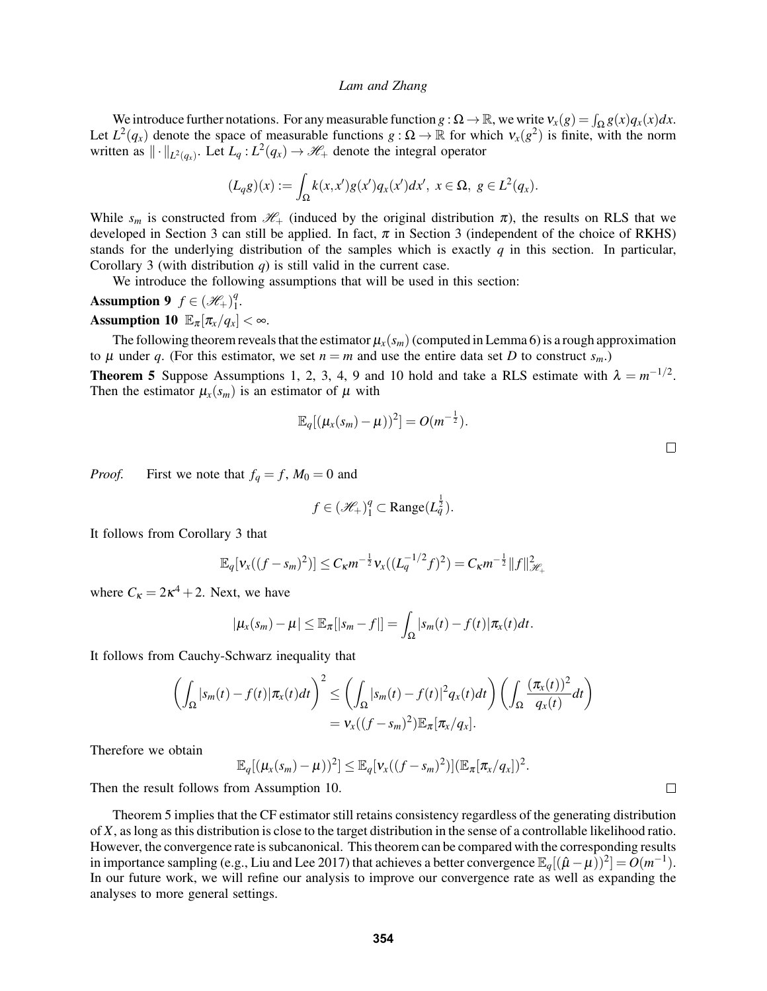We introduce further notations. For any measurable function  $g : \Omega \to \mathbb{R}$ , we write  $v_x(g) = \int_{\Omega} g(x) q_x(x) dx$ . Let  $L^2(q_x)$  denote the space of measurable functions  $g: \Omega \to \mathbb{R}$  for which  $v_x(g^2)$  is finite, with the norm written as  $\|\cdot\|_{L^2(q_x)}$ . Let  $L_q: L^2(q_x) \to \mathcal{H}_+$  denote the integral operator

$$
(L_qg)(x):=\int_{\Omega}k(x,x')g(x')q_x(x')dx',\ x\in\Omega,\ g\in L^2(q_x).
$$

While  $s_m$  is constructed from  $\mathcal{H}_+$  (induced by the original distribution  $\pi$ ), the results on RLS that we developed in Section [3](#page-3-0) can still be applied. In fact,  $\pi$  in Section 3 (independent of the choice of RKHS) stands for the underlying distribution of the samples which is exactly *q* in this section. In particular, Corollary [3](#page-7-1) (with distribution *q*) is still valid in the current case.

We introduce the following assumptions that will be used in this section:

<span id="page-10-1"></span><span id="page-10-0"></span>Assumption 9  $f \in (\mathcal{H}_+)_1^q$  $\frac{q}{1}$ . Assumption 10  $\mathbb{E}_{\pi}[\pi_x/q_x] < \infty$ .

The following theorem reveals that the estimator  $\mu_x(s_m)$  (computed in Lemma [6\)](#page-7-3) is a rough approximation to  $\mu$  under  $q$ . (For this estimator, we set  $n = m$  and use the entire data set  $D$  to construct  $s_m$ .)

<span id="page-10-2"></span>**Theorem 5** Suppose Assumptions [1,](#page-2-0) [2,](#page-2-1) [3,](#page-2-2) [4,](#page-2-3) [9](#page-10-0) and [10](#page-10-1) hold and take a RLS estimate with  $\lambda = m^{-1/2}$ . Then the estimator  $\mu_x(s_m)$  is an estimator of  $\mu$  with

$$
\mathbb{E}_q[(\mu_{x}(s_m)-\mu))^2]=O(m^{-\frac{1}{2}}).
$$

.

*Proof.* First we note that  $f_q = f$ ,  $M_0 = 0$  and

$$
f \in (\mathcal{H}_+)_1^q \subset \text{Range}(L_q^{\frac{1}{2}}).
$$

It follows from Corollary [3](#page-7-1) that

$$
\mathbb{E}_q[v_x((f-s_m)^2)] \leq C_{\kappa} m^{-\frac{1}{2}} v_x((L_q^{-1/2}f)^2) = C_{\kappa} m^{-\frac{1}{2}} ||f||^2_{\mathcal{H}_+}
$$

where  $C_K = 2\kappa^4 + 2$ . Next, we have

$$
|\mu_x(s_m)-\mu|\leq \mathbb{E}_{\pi}[|s_m-f|]=\int_{\Omega}|s_m(t)-f(t)|\pi_x(t)dt.
$$

It follows from Cauchy-Schwarz inequality that

$$
\left(\int_{\Omega}|s_m(t)-f(t)|\pi_x(t)dt\right)^2 \leq \left(\int_{\Omega}|s_m(t)-f(t)|^2q_x(t)dt\right)\left(\int_{\Omega}\frac{(\pi_x(t))^2}{q_x(t)}dt\right)
$$

$$
=v_x((f-s_m)^2)\mathbb{E}_{\pi}[\pi_x/q_x].
$$

Therefore we obtain

$$
\mathbb{E}_q[(\mu_x(s_m)-\mu))^2] \leq \mathbb{E}_q[\nu_x((f-s_m)^2)](\mathbb{E}_\pi[\pi_x/q_x])^2
$$

Then the result follows from Assumption [10.](#page-10-1)

Theorem [5](#page-10-2) implies that the CF estimator still retains consistency regardless of the generating distribution of *X*, as long as this distribution is close to the target distribution in the sense of a controllable likelihood ratio. However, the convergence rate is subcanonical. This theorem can be compared with the corresponding results in importance sampling (e.g., [Liu and Lee 2017\)](#page-11-3) that achieves a better convergence  $\mathbb{E}_q[(\hat{\mu}-\mu\hat{)}]^2] = O(m^{-1})$ . In our future work, we will refine our analysis to improve our convergence rate as well as expanding the analyses to more general settings.

 $\Box$ 

 $\Box$